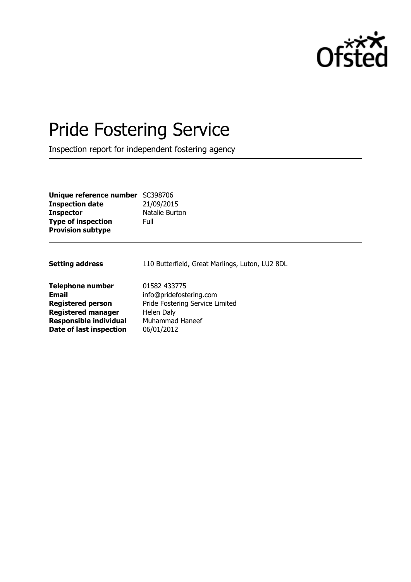

# Pride Fostering Service

Inspection report for independent fostering agency

| Unique reference number SC398706 |                |
|----------------------------------|----------------|
| <b>Inspection date</b>           | 21/09/2015     |
| <b>Inspector</b>                 | Natalie Burton |
| <b>Type of inspection</b>        | Full           |
| <b>Provision subtype</b>         |                |

| 110 Butterfield, Great Marlings, Luton, LU2 8DL |
|-------------------------------------------------|
| 01582 433775                                    |
| info@pridefostering.com                         |
| Pride Fostering Service Limited                 |
| Helen Daly                                      |
| Muhammad Haneef                                 |
| 06/01/2012                                      |
|                                                 |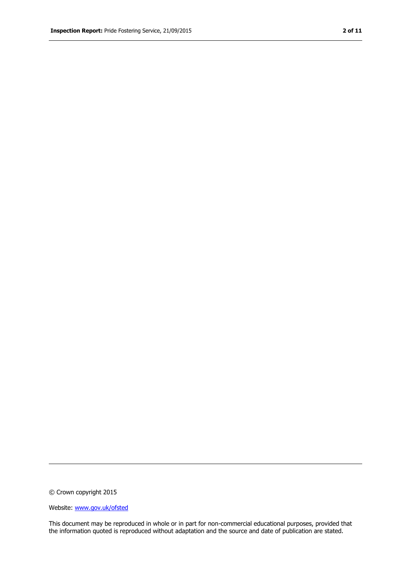© Crown copyright 2015

Website: www.gov.uk/ofsted

This document may be reproduced in whole or in part for non-commercial educational purposes, provided that the information quoted is reproduced without adaptation and the source and date of publication are stated.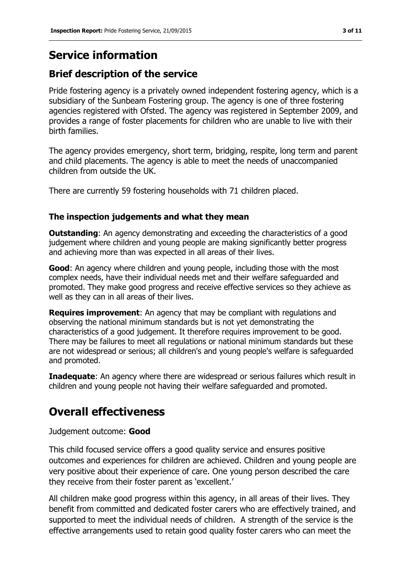# **Service information**

### **Brief description of the service**

Pride fostering agency is a privately owned independent fostering agency, which is a subsidiary of the Sunbeam Fostering group. The agency is one of three fostering agencies registered with Ofsted. The agency was registered in September 2009, and provides a range of foster placements for children who are unable to live with their birth families.

The agency provides emergency, short term, bridging, respite, long term and parent and child placements. The agency is able to meet the needs of unaccompanied children from outside the UK.

There are currently 59 fostering households with 71 children placed.

### **The inspection judgements and what they mean**

**Outstanding**: An agency demonstrating and exceeding the characteristics of a good judgement where children and young people are making significantly better progress and achieving more than was expected in all areas of their lives.

**Good**: An agency where children and young people, including those with the most complex needs, have their individual needs met and their welfare safeguarded and promoted. They make good progress and receive effective services so they achieve as well as they can in all areas of their lives.

**Requires improvement**: An agency that may be compliant with regulations and observing the national minimum standards but is not yet demonstrating the characteristics of a good judgement. It therefore requires improvement to be good. There may be failures to meet all regulations or national minimum standards but these are not widespread or serious; all children's and young people's welfare is safeguarded and promoted.

**Inadequate:** An agency where there are widespread or serious failures which result in children and young people not having their welfare safeguarded and promoted.

# **Overall effectiveness**

#### Judgement outcome: **Good**

This child focused service offers a good quality service and ensures positive outcomes and experiences for children are achieved. Children and young people are very positive about their experience of care. One young person described the care they receive from their foster parent as 'excellent.'

All children make good progress within this agency, in all areas of their lives. They benefit from committed and dedicated foster carers who are effectively trained, and supported to meet the individual needs of children. A strength of the service is the effective arrangements used to retain good quality foster carers who can meet the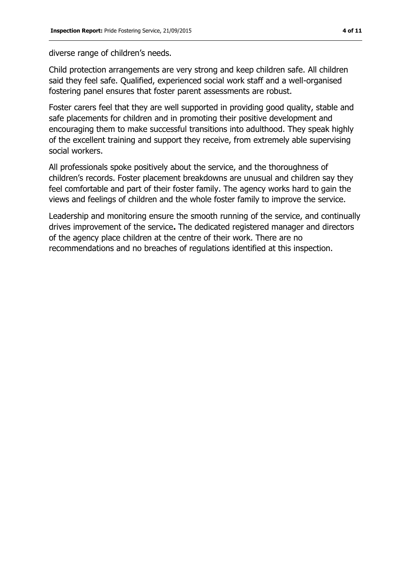diverse range of children's needs.

Child protection arrangements are very strong and keep children safe. All children said they feel safe. Qualified, experienced social work staff and a well-organised fostering panel ensures that foster parent assessments are robust.

Foster carers feel that they are well supported in providing good quality, stable and safe placements for children and in promoting their positive development and encouraging them to make successful transitions into adulthood. They speak highly of the excellent training and support they receive, from extremely able supervising social workers.

All professionals spoke positively about the service, and the thoroughness of children's records. Foster placement breakdowns are unusual and children say they feel comfortable and part of their foster family. The agency works hard to gain the views and feelings of children and the whole foster family to improve the service.

Leadership and monitoring ensure the smooth running of the service, and continually drives improvement of the service**.** The dedicated registered manager and directors of the agency place children at the centre of their work. There are no recommendations and no breaches of regulations identified at this inspection.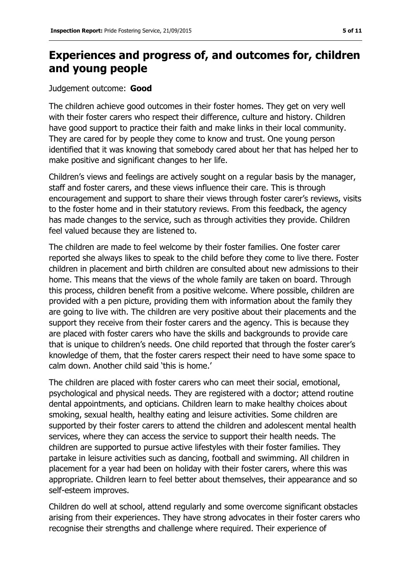## **Experiences and progress of, and outcomes for, children and young people**

#### Judgement outcome: **Good**

The children achieve good outcomes in their foster homes. They get on very well with their foster carers who respect their difference, culture and history. Children have good support to practice their faith and make links in their local community. They are cared for by people they come to know and trust. One young person identified that it was knowing that somebody cared about her that has helped her to make positive and significant changes to her life.

Children's views and feelings are actively sought on a regular basis by the manager, staff and foster carers, and these views influence their care. This is through encouragement and support to share their views through foster carer's reviews, visits to the foster home and in their statutory reviews. From this feedback, the agency has made changes to the service, such as through activities they provide. Children feel valued because they are listened to.

The children are made to feel welcome by their foster families. One foster carer reported she always likes to speak to the child before they come to live there. Foster children in placement and birth children are consulted about new admissions to their home. This means that the views of the whole family are taken on board. Through this process, children benefit from a positive welcome. Where possible, children are provided with a pen picture, providing them with information about the family they are going to live with. The children are very positive about their placements and the support they receive from their foster carers and the agency. This is because they are placed with foster carers who have the skills and backgrounds to provide care that is unique to children's needs. One child reported that through the foster carer's knowledge of them, that the foster carers respect their need to have some space to calm down. Another child said 'this is home.'

The children are placed with foster carers who can meet their social, emotional, psychological and physical needs. They are registered with a doctor; attend routine dental appointments, and opticians. Children learn to make healthy choices about smoking, sexual health, healthy eating and leisure activities. Some children are supported by their foster carers to attend the children and adolescent mental health services, where they can access the service to support their health needs. The children are supported to pursue active lifestyles with their foster families. They partake in leisure activities such as dancing, football and swimming. All children in placement for a year had been on holiday with their foster carers, where this was appropriate. Children learn to feel better about themselves, their appearance and so self-esteem improves.

Children do well at school, attend regularly and some overcome significant obstacles arising from their experiences. They have strong advocates in their foster carers who recognise their strengths and challenge where required. Their experience of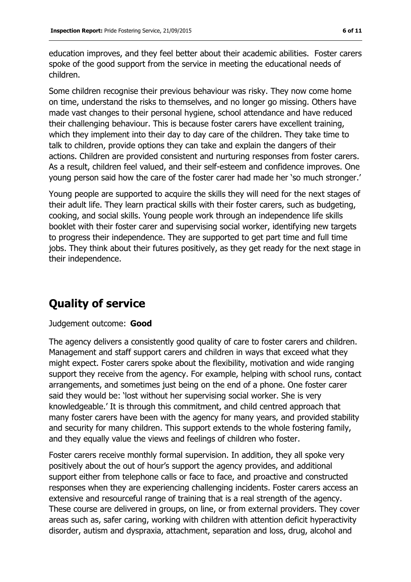education improves, and they feel better about their academic abilities. Foster carers spoke of the good support from the service in meeting the educational needs of children.

Some children recognise their previous behaviour was risky. They now come home on time, understand the risks to themselves, and no longer go missing. Others have made vast changes to their personal hygiene, school attendance and have reduced their challenging behaviour. This is because foster carers have excellent training, which they implement into their day to day care of the children. They take time to talk to children, provide options they can take and explain the dangers of their actions. Children are provided consistent and nurturing responses from foster carers. As a result, children feel valued, and their self-esteem and confidence improves. One young person said how the care of the foster carer had made her 'so much stronger.'

Young people are supported to acquire the skills they will need for the next stages of their adult life. They learn practical skills with their foster carers, such as budgeting, cooking, and social skills. Young people work through an independence life skills booklet with their foster carer and supervising social worker, identifying new targets to progress their independence. They are supported to get part time and full time jobs. They think about their futures positively, as they get ready for the next stage in their independence.

## **Quality of service**

#### Judgement outcome: **Good**

The agency delivers a consistently good quality of care to foster carers and children. Management and staff support carers and children in ways that exceed what they might expect. Foster carers spoke about the flexibility, motivation and wide ranging support they receive from the agency. For example, helping with school runs, contact arrangements, and sometimes just being on the end of a phone. One foster carer said they would be: 'lost without her supervising social worker. She is very knowledgeable.' It is through this commitment, and child centred approach that many foster carers have been with the agency for many years, and provided stability and security for many children. This support extends to the whole fostering family, and they equally value the views and feelings of children who foster.

Foster carers receive monthly formal supervision. In addition, they all spoke very positively about the out of hour's support the agency provides, and additional support either from telephone calls or face to face, and proactive and constructed responses when they are experiencing challenging incidents. Foster carers access an extensive and resourceful range of training that is a real strength of the agency. These course are delivered in groups, on line, or from external providers. They cover areas such as, safer caring, working with children with attention deficit hyperactivity disorder, autism and dyspraxia, attachment, separation and loss, drug, alcohol and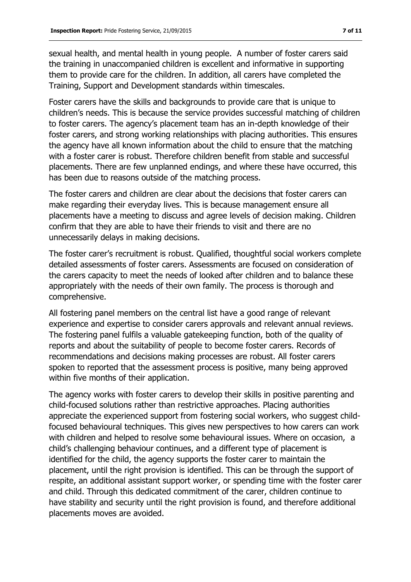sexual health, and mental health in young people. A number of foster carers said the training in unaccompanied children is excellent and informative in supporting them to provide care for the children. In addition, all carers have completed the Training, Support and Development standards within timescales.

Foster carers have the skills and backgrounds to provide care that is unique to children's needs. This is because the service provides successful matching of children to foster carers. The agency's placement team has an in-depth knowledge of their foster carers, and strong working relationships with placing authorities. This ensures the agency have all known information about the child to ensure that the matching with a foster carer is robust. Therefore children benefit from stable and successful placements. There are few unplanned endings, and where these have occurred, this has been due to reasons outside of the matching process.

The foster carers and children are clear about the decisions that foster carers can make regarding their everyday lives. This is because management ensure all placements have a meeting to discuss and agree levels of decision making. Children confirm that they are able to have their friends to visit and there are no unnecessarily delays in making decisions.

The foster carer's recruitment is robust. Qualified, thoughtful social workers complete detailed assessments of foster carers. Assessments are focused on consideration of the carers capacity to meet the needs of looked after children and to balance these appropriately with the needs of their own family. The process is thorough and comprehensive.

All fostering panel members on the central list have a good range of relevant experience and expertise to consider carers approvals and relevant annual reviews. The fostering panel fulfils a valuable gatekeeping function, both of the quality of reports and about the suitability of people to become foster carers. Records of recommendations and decisions making processes are robust. All foster carers spoken to reported that the assessment process is positive, many being approved within five months of their application.

The agency works with foster carers to develop their skills in positive parenting and child-focused solutions rather than restrictive approaches. Placing authorities appreciate the experienced support from fostering social workers, who suggest childfocused behavioural techniques. This gives new perspectives to how carers can work with children and helped to resolve some behavioural issues. Where on occasion, a child's challenging behaviour continues, and a different type of placement is identified for the child, the agency supports the foster carer to maintain the placement, until the right provision is identified. This can be through the support of respite, an additional assistant support worker, or spending time with the foster carer and child. Through this dedicated commitment of the carer, children continue to have stability and security until the right provision is found, and therefore additional placements moves are avoided.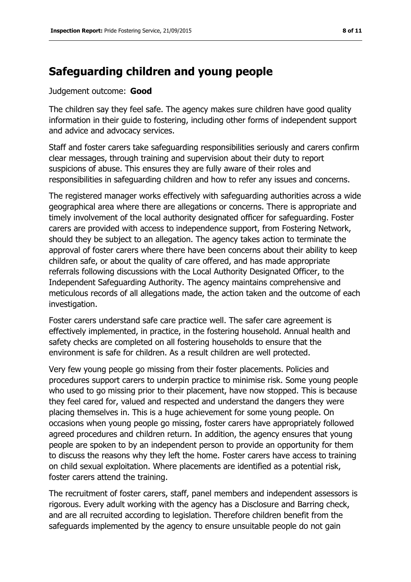### **Safeguarding children and young people**

#### Judgement outcome: **Good**

The children say they feel safe. The agency makes sure children have good quality information in their guide to fostering, including other forms of independent support and advice and advocacy services.

Staff and foster carers take safeguarding responsibilities seriously and carers confirm clear messages, through training and supervision about their duty to report suspicions of abuse. This ensures they are fully aware of their roles and responsibilities in safeguarding children and how to refer any issues and concerns.

The registered manager works effectively with safeguarding authorities across a wide geographical area where there are allegations or concerns. There is appropriate and timely involvement of the local authority designated officer for safeguarding. Foster carers are provided with access to independence support, from Fostering Network, should they be subject to an allegation. The agency takes action to terminate the approval of foster carers where there have been concerns about their ability to keep children safe, or about the quality of care offered, and has made appropriate referrals following discussions with the Local Authority Designated Officer, to the Independent Safeguarding Authority. The agency maintains comprehensive and meticulous records of all allegations made, the action taken and the outcome of each investigation.

Foster carers understand safe care practice well. The safer care agreement is effectively implemented, in practice, in the fostering household. Annual health and safety checks are completed on all fostering households to ensure that the environment is safe for children. As a result children are well protected.

Very few young people go missing from their foster placements. Policies and procedures support carers to underpin practice to minimise risk. Some young people who used to go missing prior to their placement, have now stopped. This is because they feel cared for, valued and respected and understand the dangers they were placing themselves in. This is a huge achievement for some young people. On occasions when young people go missing, foster carers have appropriately followed agreed procedures and children return. In addition, the agency ensures that young people are spoken to by an independent person to provide an opportunity for them to discuss the reasons why they left the home. Foster carers have access to training on child sexual exploitation. Where placements are identified as a potential risk, foster carers attend the training.

The recruitment of foster carers, staff, panel members and independent assessors is rigorous. Every adult working with the agency has a Disclosure and Barring check, and are all recruited according to legislation. Therefore children benefit from the safeguards implemented by the agency to ensure unsuitable people do not gain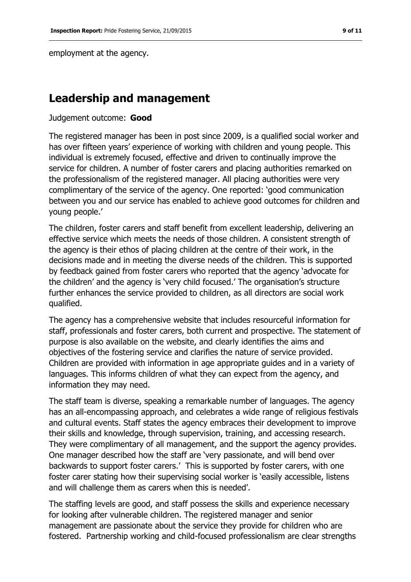employment at the agency.

### **Leadership and management**

Judgement outcome: **Good**

The registered manager has been in post since 2009, is a qualified social worker and has over fifteen years' experience of working with children and young people. This individual is extremely focused, effective and driven to continually improve the service for children. A number of foster carers and placing authorities remarked on the professionalism of the registered manager. All placing authorities were very complimentary of the service of the agency. One reported: 'good communication between you and our service has enabled to achieve good outcomes for children and young people.'

The children, foster carers and staff benefit from excellent leadership, delivering an effective service which meets the needs of those children. A consistent strength of the agency is their ethos of placing children at the centre of their work, in the decisions made and in meeting the diverse needs of the children. This is supported by feedback gained from foster carers who reported that the agency 'advocate for the children' and the agency is 'very child focused.' The organisation's structure further enhances the service provided to children, as all directors are social work qualified.

The agency has a comprehensive website that includes resourceful information for staff, professionals and foster carers, both current and prospective. The statement of purpose is also available on the website, and clearly identifies the aims and objectives of the fostering service and clarifies the nature of service provided. Children are provided with information in age appropriate guides and in a variety of languages. This informs children of what they can expect from the agency, and information they may need.

The staff team is diverse, speaking a remarkable number of languages. The agency has an all-encompassing approach, and celebrates a wide range of religious festivals and cultural events. Staff states the agency embraces their development to improve their skills and knowledge, through supervision, training, and accessing research. They were complimentary of all management, and the support the agency provides. One manager described how the staff are 'very passionate, and will bend over backwards to support foster carers.' This is supported by foster carers, with one foster carer stating how their supervising social worker is 'easily accessible, listens and will challenge them as carers when this is needed'.

The staffing levels are good, and staff possess the skills and experience necessary for looking after vulnerable children. The registered manager and senior management are passionate about the service they provide for children who are fostered. Partnership working and child-focused professionalism are clear strengths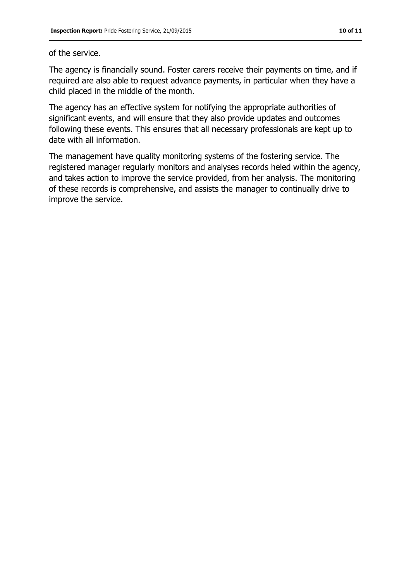#### of the service.

The agency is financially sound. Foster carers receive their payments on time, and if required are also able to request advance payments, in particular when they have a child placed in the middle of the month.

The agency has an effective system for notifying the appropriate authorities of significant events, and will ensure that they also provide updates and outcomes following these events. This ensures that all necessary professionals are kept up to date with all information.

The management have quality monitoring systems of the fostering service. The registered manager regularly monitors and analyses records heled within the agency, and takes action to improve the service provided, from her analysis. The monitoring of these records is comprehensive, and assists the manager to continually drive to improve the service.